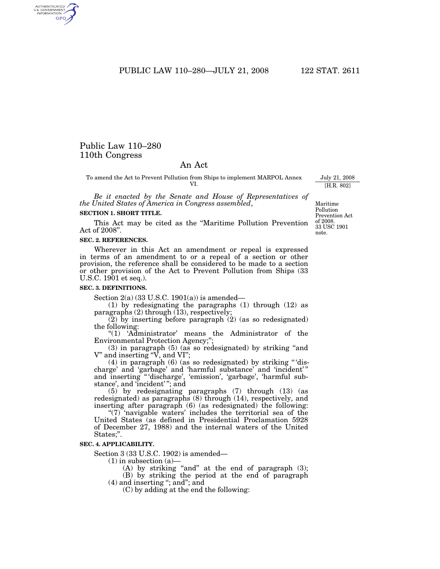PUBLIC LAW 110–280—JULY 21, 2008 122 STAT. 2611

# Public Law 110–280 110th Congress

# An Act

To amend the Act to Prevent Pollution from Ships to implement MARPOL Annex VI.

*Be it enacted by the Senate and House of Representatives of the United States of America in Congress assembled*,

#### **SECTION 1. SHORT TITLE.**

This Act may be cited as the ''Maritime Pollution Prevention Act of 2008''.

#### **SEC. 2. REFERENCES.**

Wherever in this Act an amendment or repeal is expressed in terms of an amendment to or a repeal of a section or other provision, the reference shall be considered to be made to a section or other provision of the Act to Prevent Pollution from Ships (33 U.S.C. 1901 et seq.).

#### **SEC. 3. DEFINITIONS.**

Section  $2(a)$  (33 U.S.C. 1901(a)) is amended—

(1) by redesignating the paragraphs (1) through (12) as paragraphs (2) through (13), respectively;

(2) by inserting before paragraph (2) (as so redesignated) the following:

"(1) 'Administrator' means the Administrator of the Environmental Protection Agency;'';

 $(3)$  in paragraph  $(5)$  (as so redesignated) by striking "and V'' and inserting ''V, and VI'';

(4) in paragraph (6) (as so redesignated) by striking '' 'discharge' and 'garbage' and 'harmful substance' and 'incident' '' and inserting '' 'discharge', 'emission', 'garbage', 'harmful substance', and 'incident' ''; and

(5) by redesignating paragraphs (7) through (13) (as redesignated) as paragraphs (8) through (14), respectively, and inserting after paragraph (6) (as redesignated) the following:

"(7) 'navigable waters' includes the territorial sea of the United States (as defined in Presidential Proclamation 5928 of December 27, 1988) and the internal waters of the United States;''.

#### **SEC. 4. APPLICABILITY.**

Section 3 (33 U.S.C. 1902) is amended—

 $(1)$  in subsection  $(a)$ 

 $(A)$  by striking "and" at the end of paragraph  $(3)$ ; (B) by striking the period at the end of paragraph

(4) and inserting ''; and''; and

(C) by adding at the end the following:

Maritime Pollution Prevention Act of 2008. 33 USC 1901 note.

July 21, 2008 [H.R. 802]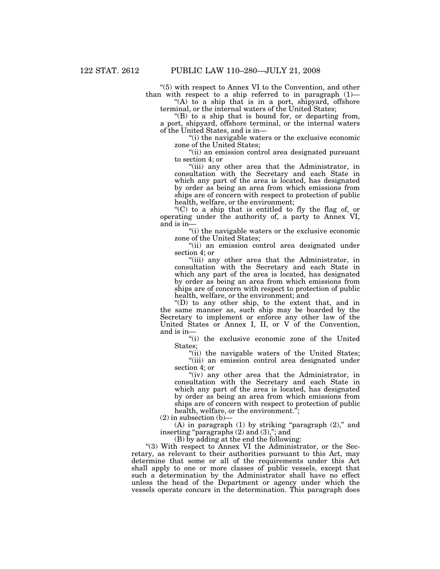''(5) with respect to Annex VI to the Convention, and other than with respect to a ship referred to in paragraph (1)—

"(A) to a ship that is in a port, shipyard, offshore terminal, or the internal waters of the United States;

 $f(B)$  to a ship that is bound for, or departing from, a port, shipyard, offshore terminal, or the internal waters of the United States, and is in—

''(i) the navigable waters or the exclusive economic zone of the United States;

''(ii) an emission control area designated pursuant to section 4; or

"(iii) any other area that the Administrator, in consultation with the Secretary and each State in which any part of the area is located, has designated by order as being an area from which emissions from ships are of concern with respect to protection of public health, welfare, or the environment;

''(C) to a ship that is entitled to fly the flag of, or operating under the authority of, a party to Annex VI, and is in—

''(i) the navigable waters or the exclusive economic zone of the United States;

"(ii) an emission control area designated under section 4; or

"(iii) any other area that the Administrator, in consultation with the Secretary and each State in which any part of the area is located, has designated by order as being an area from which emissions from ships are of concern with respect to protection of public health, welfare, or the environment; and

''(D) to any other ship, to the extent that, and in the same manner as, such ship may be boarded by the Secretary to implement or enforce any other law of the United States or Annex I, II, or V of the Convention, and is in—

''(i) the exclusive economic zone of the United States;

"(ii) the navigable waters of the United States; "(iii) an emission control area designated under section 4; or

"(iv) any other area that the Administrator, in consultation with the Secretary and each State in which any part of the area is located, has designated by order as being an area from which emissions from ships are of concern with respect to protection of public health, welfare, or the environment.";

 $(2)$  in subsection  $(b)$ —

(A) in paragraph  $(1)$  by striking "paragraph  $(2)$ ," and inserting "paragraphs (2) and (3),"; and

(B) by adding at the end the following:

''(3) With respect to Annex VI the Administrator, or the Secretary, as relevant to their authorities pursuant to this Act, may determine that some or all of the requirements under this Act shall apply to one or more classes of public vessels, except that such a determination by the Administrator shall have no effect unless the head of the Department or agency under which the vessels operate concurs in the determination. This paragraph does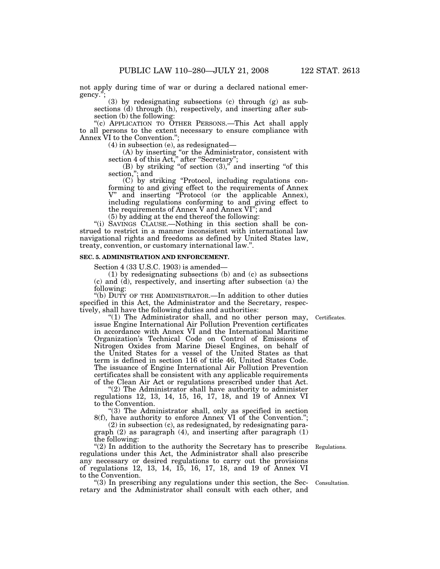not apply during time of war or during a declared national emergency.'';

(3) by redesignating subsections (c) through (g) as subsections (d) through (h), respectively, and inserting after subsection (b) the following:

"(c) APPLICATION TO OTHER PERSONS.—This Act shall apply to all persons to the extent necessary to ensure compliance with Annex VI to the Convention.'';

(4) in subsection (e), as redesignated—

(A) by inserting ''or the Administrator, consistent with section 4 of this Act," after "Secretary";

(B) by striking "of section  $(3)$ ," and inserting "of this section,''; and

(C) by striking ''Protocol, including regulations conforming to and giving effect to the requirements of Annex V" and inserting "Protocol (or the applicable Annex). and inserting "Protocol (or the applicable Annex), including regulations conforming to and giving effect to the requirements of Annex V and Annex VI''; and

(5) by adding at the end thereof the following:

''(i) SAVINGS CLAUSE.—Nothing in this section shall be construed to restrict in a manner inconsistent with international law navigational rights and freedoms as defined by United States law, treaty, convention, or customary international law.''.

# **SEC. 5. ADMINISTRATION AND ENFORCEMENT.**

Section 4 (33 U.S.C. 1903) is amended—

(1) by redesignating subsections (b) and (c) as subsections (c) and (d), respectively, and inserting after subsection (a) the following:

''(b) DUTY OF THE ADMINISTRATOR.—In addition to other duties specified in this Act, the Administrator and the Secretary, respectively, shall have the following duties and authorities:

" $(1)$  The Administrator shall, and no other person may, issue Engine International Air Pollution Prevention certificates in accordance with Annex VI and the International Maritime Organization's Technical Code on Control of Emissions of Nitrogen Oxides from Marine Diesel Engines, on behalf of the United States for a vessel of the United States as that term is defined in section 116 of title 46, United States Code. The issuance of Engine International Air Pollution Prevention certificates shall be consistent with any applicable requirements of the Clean Air Act or regulations prescribed under that Act.

"(2) The Administrator shall have authority to administer regulations 12, 13, 14, 15, 16, 17, 18, and 19 of Annex VI to the Convention.

''(3) The Administrator shall, only as specified in section 8(f), have authority to enforce Annex VI of the Convention.'';

(2) in subsection (c), as redesignated, by redesignating paragraph (2) as paragraph (4), and inserting after paragraph (1) the following:

"(2) In addition to the authority the Secretary has to prescribe regulations under this Act, the Administrator shall also prescribe any necessary or desired regulations to carry out the provisions of regulations 12, 13, 14, 15, 16, 17, 18, and 19 of Annex VI to the Convention.

''(3) In prescribing any regulations under this section, the Secretary and the Administrator shall consult with each other, and

Certificates.

Regulations.

Consultation.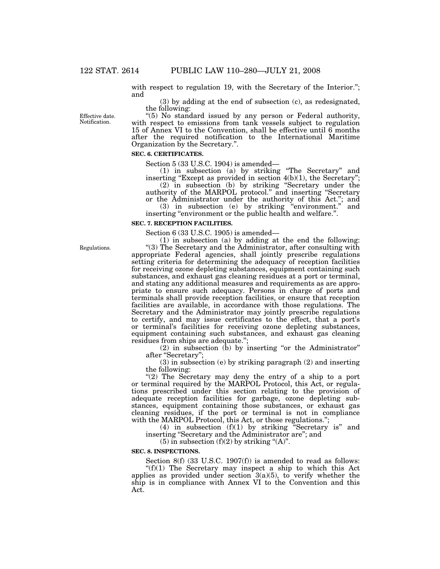with respect to regulation 19, with the Secretary of the Interior."; and

(3) by adding at the end of subsection (c), as redesignated, the following:

Effective date. Notification.

''(5) No standard issued by any person or Federal authority, with respect to emissions from tank vessels subject to regulation 15 of Annex VI to the Convention, shall be effective until 6 months after the required notification to the International Maritime Organization by the Secretary.''.

# **SEC. 6. CERTIFICATES.**

Section 5 (33 U.S.C. 1904) is amended—

(1) in subsection (a) by striking ''The Secretary'' and inserting "Except as provided in section  $4(b)(1)$ , the Secretary"; (2) in subsection (b) by striking ''Secretary under the

authority of the MARPOL protocol.'' and inserting ''Secretary or the Administrator under the authority of this Act.''; and

(3) in subsection (e) by striking ''environment.'' and inserting "environment or the public health and welfare.".

#### **SEC. 7. RECEPTION FACILITIES.**

Section 6 (33 U.S.C. 1905) is amended—

(1) in subsection (a) by adding at the end the following: ''(3) The Secretary and the Administrator, after consulting with appropriate Federal agencies, shall jointly prescribe regulations setting criteria for determining the adequacy of reception facilities for receiving ozone depleting substances, equipment containing such substances, and exhaust gas cleaning residues at a port or terminal, and stating any additional measures and requirements as are appropriate to ensure such adequacy. Persons in charge of ports and terminals shall provide reception facilities, or ensure that reception facilities are available, in accordance with those regulations. The Secretary and the Administrator may jointly prescribe regulations to certify, and may issue certificates to the effect, that a port's or terminal's facilities for receiving ozone depleting substances, equipment containing such substances, and exhaust gas cleaning residues from ships are adequate.'';

 $(2)$  in subsection  $(b)$  by inserting "or the Administrator" after ''Secretary'';

(3) in subsection (e) by striking paragraph (2) and inserting the following:

"(2) The Secretary may deny the entry of a ship to a port or terminal required by the MARPOL Protocol, this Act, or regulations prescribed under this section relating to the provision of adequate reception facilities for garbage, ozone depleting substances, equipment containing those substances, or exhaust gas cleaning residues, if the port or terminal is not in compliance with the MARPOL Protocol, this Act, or those regulations.";

(4) in subsection  $(f)(1)$  by striking "Secretary is" and inserting ''Secretary and the Administrator are''; and

 $(5)$  in subsection  $(f)(2)$  by striking " $(A)$ ".

#### **SEC. 8. INSPECTIONS.**

Section 8(f) (33 U.S.C. 1907(f)) is amended to read as follows: " $(f)(1)$  The Secretary may inspect a ship to which this Act applies as provided under section  $3(a)(5)$ , to verify whether the ship is in compliance with Annex VI to the Convention and this Act.

Regulations.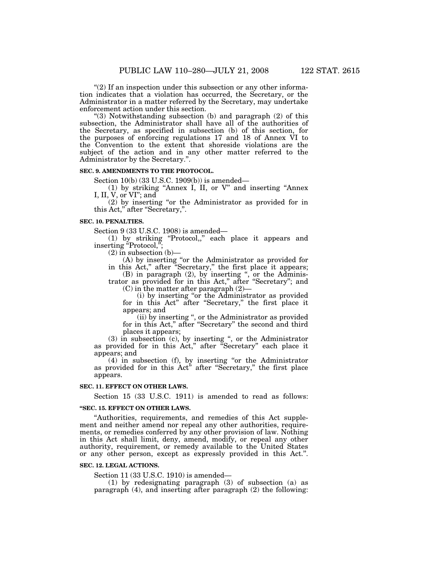" $(2)$  If an inspection under this subsection or any other information indicates that a violation has occurred, the Secretary, or the Administrator in a matter referred by the Secretary, may undertake enforcement action under this section.

''(3) Notwithstanding subsection (b) and paragraph (2) of this subsection, the Administrator shall have all of the authorities of the Secretary, as specified in subsection (b) of this section, for the purposes of enforcing regulations 17 and 18 of Annex VI to the Convention to the extent that shoreside violations are the subject of the action and in any other matter referred to the Administrator by the Secretary.''.

#### **SEC. 9. AMENDMENTS TO THE PROTOCOL.**

Section 10(b) (33 U.S.C. 1909(b)) is amended—

(1) by striking ''Annex I, II, or V'' and inserting ''Annex I, II, V, or VI''; and

 $(2)$  by inserting "or the Administrator as provided for in this Act,'' after ''Secretary,''.

#### **SEC. 10. PENALTIES.**

Section 9 (33 U.S.C. 1908) is amended—

(1) by striking ''Protocol,,'' each place it appears and inserting "Protocol,";

 $(2)$  in subsection  $(b)$ –

(A) by inserting ''or the Administrator as provided for in this Act,'' after ''Secretary,'' the first place it appears;

(B) in paragraph (2), by inserting ", or the Administrator as provided for in this Act," after "Secretary"; and

(C) in the matter after paragraph (2)—

(i) by inserting ''or the Administrator as provided for in this Act'' after ''Secretary,'' the first place it appears; and

(ii) by inserting '', or the Administrator as provided for in this Act," after "Secretary" the second and third places it appears;

 $(3)$  in subsection  $(c)$ , by inserting ", or the Administrator as provided for in this Act," after "Secretary" each place it appears; and

(4) in subsection (f), by inserting ''or the Administrator as provided for in this Act'' after ''Secretary,'' the first place appears.

### **SEC. 11. EFFECT ON OTHER LAWS.**

Section 15 (33 U.S.C. 1911) is amended to read as follows:

### **''SEC. 15. EFFECT ON OTHER LAWS.**

''Authorities, requirements, and remedies of this Act supplement and neither amend nor repeal any other authorities, requirements, or remedies conferred by any other provision of law. Nothing in this Act shall limit, deny, amend, modify, or repeal any other authority, requirement, or remedy available to the United States or any other person, except as expressly provided in this Act.''.

### **SEC. 12. LEGAL ACTIONS.**

Section 11 (33 U.S.C. 1910) is amended—

(1) by redesignating paragraph (3) of subsection (a) as paragraph (4), and inserting after paragraph (2) the following: